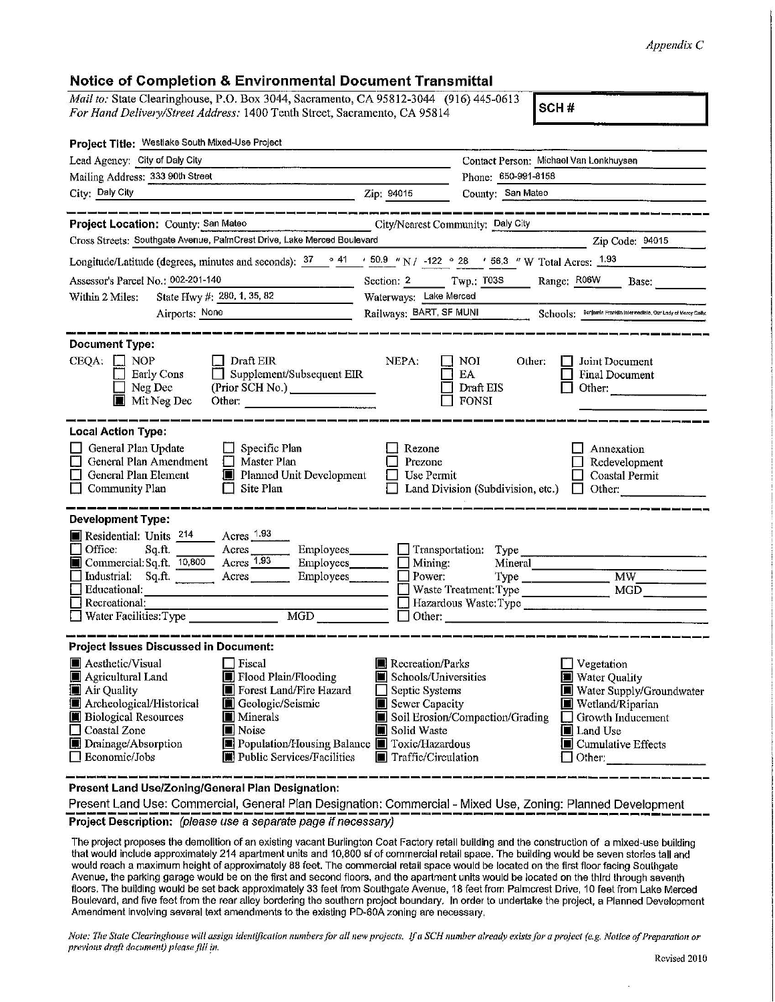## *AppendixC*

| <b>Notice of Completion &amp; Environmental Document Transmittal</b>                                                                                                                                                                                                                                                                                                                                             |                                                                                                                                                                                                                                                                                                                                            |
|------------------------------------------------------------------------------------------------------------------------------------------------------------------------------------------------------------------------------------------------------------------------------------------------------------------------------------------------------------------------------------------------------------------|--------------------------------------------------------------------------------------------------------------------------------------------------------------------------------------------------------------------------------------------------------------------------------------------------------------------------------------------|
| Mail to: State Clearinghouse, P.O. Box 3044, Sacramento, CA 95812-3044 (916) 445-0613<br>For Hand Delivery/Street Address: 1400 Tenth Street, Sacramento, CA 95814                                                                                                                                                                                                                                               | SCH#                                                                                                                                                                                                                                                                                                                                       |
| Project Title: Westlake South Mixed-Use Project                                                                                                                                                                                                                                                                                                                                                                  |                                                                                                                                                                                                                                                                                                                                            |
| Lead Agency: City of Daly City<br>the state of the company of the company of the company of the company of the company of                                                                                                                                                                                                                                                                                        | Contact Person: Michael Van Lonkhuysen                                                                                                                                                                                                                                                                                                     |
| Mailing Address: 333 90th Street                                                                                                                                                                                                                                                                                                                                                                                 | Phone: 650-991-8158                                                                                                                                                                                                                                                                                                                        |
| City: Daly City<br>이 사람들은 아이들이 아니라 아이들이 아니라 아이들이 아니라 아이들이 아니라 아이들이 아니라 아이들이 아니라 아이들이 아니라 아이들이 아니라 아이들이 아니라 아이들이 아니라 아이들이 아니라 아이들이                                                                                                                                                                                                                                                                                | Zip: 94015<br>County: San Mateo                                                                                                                                                                                                                                                                                                            |
| .<br>ب المسلمة المساعة المسلمة المسلمة المسلمة الأنسانية المسلمة المسلمة المسلمة المسلمة<br>Project Location: County: San Mateo                                                                                                                                                                                                                                                                                  | City/Nearest Community: Daly City                                                                                                                                                                                                                                                                                                          |
| Cross Streets: Southgate Avenue, PalmCrest Drive, Lake Merced Boulevard                                                                                                                                                                                                                                                                                                                                          | Zip Code: 94015                                                                                                                                                                                                                                                                                                                            |
| Longitude/Latitude (degrees, minutes and seconds): $\frac{37}{9}$ $\frac{41}{150.9}$ $\frac{100.9}{122}$ $\frac{122}{28}$ $\frac{28}{156.3}$ W Total Acres: $\frac{1.93}{1.93}$                                                                                                                                                                                                                                  |                                                                                                                                                                                                                                                                                                                                            |
| Assessor's Parcel No.: 002-201-140                                                                                                                                                                                                                                                                                                                                                                               | Section: 2 Twp.: T03S Range: R06W Base:                                                                                                                                                                                                                                                                                                    |
| State Hwy #: 280, 1, 35, 82<br>Within 2 Miles:                                                                                                                                                                                                                                                                                                                                                                   | Waterways: Lake Merced                                                                                                                                                                                                                                                                                                                     |
| Airports: None                                                                                                                                                                                                                                                                                                                                                                                                   | Railways: BART, SF MUNI<br>Schools: Benjamin Franklin Intermediate, Our Ledy of Mercy Catho                                                                                                                                                                                                                                                |
| <b>Document Type:</b><br>$CEQA: \Box NP$<br>Draft EIR<br>Supplement/Subsequent EIR<br>Early Cons<br>Neg Dec<br>(Prior SCH No.)<br>Mit Neg Dec<br>Other:                                                                                                                                                                                                                                                          | NEPA:<br>NOI.<br>Other:<br>Joint Document<br>EA<br><b>Final Document</b><br>Draft EIS<br>Other:<br><b>FONSI</b>                                                                                                                                                                                                                            |
| <b>Local Action Type:</b><br>General Plan Update<br>Specific Plan<br>General Plan Amendment<br>Master Plan<br>$\Box$<br>Planned Unit Development<br>General Plan Element<br>Site Plan<br>Community Plan<br>l I                                                                                                                                                                                                   | Rezone<br>Annexation<br>Prezone<br>Redevelopment<br>Use Permit<br><b>Coastal Permit</b><br>Land Division (Subdivision, etc.)<br>Other:<br>JU L                                                                                                                                                                                             |
| <b>Development Type:</b><br>Acres 1.93<br>Residential: Units 214<br>Office:<br>Employees_______<br>Sq.ft.<br>Acres<br>Acres 1.93<br>Commercial: Sq.ft. 10,800<br>Employees<br>Industrial: Sq.ft.<br>Acres<br>Employees<br><b>Educational:</b><br>$\Box$ Recreational:<br><b>MGD</b><br>Water Facilities: Type                                                                                                    | Transportation: Type<br>Mining:<br>Mineral<br>Power:<br>M W<br>MGD<br>Hazardous Waste:Type<br>Other:                                                                                                                                                                                                                                       |
| <b>Project Issues Discussed in Document:</b><br>Aesthetic/Visual<br>□ Fiscal<br>Flood Plain/Flooding<br>Agricultural Land<br>Forest Land/Fire Hazard<br><b>Air Quality</b><br>Archeological/Historical<br>Geologic/Seismic<br><b>Biological Resources</b><br><b>Minerals</b><br>Noise<br>Coastal Zone<br>Population/Housing Balance<br>Drainage/Absorption<br><b>Public Services/Facilities</b><br>Economic/Jobs | Recreation/Parks<br>Vegetation<br>Schools/Universities<br><b>Water Quality</b><br>Septic Systems<br>Water Supply/Groundwater<br>Sewer Capacity<br>Wetland/Riparian<br>Soil Erosion/Compaction/Grading<br>Growth Inducement<br>Solid Waste<br>Land Use<br><b>I</b> Toxic/Hazardous<br>■ Cumulative Effects<br>Traffic/Circulation<br>Other: |

**Present Land Use/Zoning/General Plan Designation:** 

Present Land Use: Commercial, General Plan Designation: Commercial - Mixed Use, Zoning: Planned Development **Project Description:** (please use a separate page if necessary)

The project proposes the demolition of an existing vacant Burlington Coat Factory retail building and the construction of a mixed-use building that would include approximately 214 apartment units and 10,800 sf of commercial retail space. The building would be seven stories tall and would reach a maximum height of approximately 88 feet. The commercial retail space would be located on the first floor facing Southgate Avenue, the parking garage would be on the first and second floors, and the apartment units would be located on the third through seventh floors, The building would be set back approximately 33 feet from Southgate Avenue, 18 feet from Palmcrest Drive, 10 feet from Lake Merced Boulevard, and five feet from the rear alley bordering the southern project boundary. In order to undertake the project, a Planned Development Amendment involving several text amendments to the existing PD-60A zoning are necessary,

*Note: The State Clearinghouse will assign ideutiflcalion numbers for all new projects. lfa SCH number already exists for a project (e.g. Notice of Preparation or*  previous draft document) please fill in.